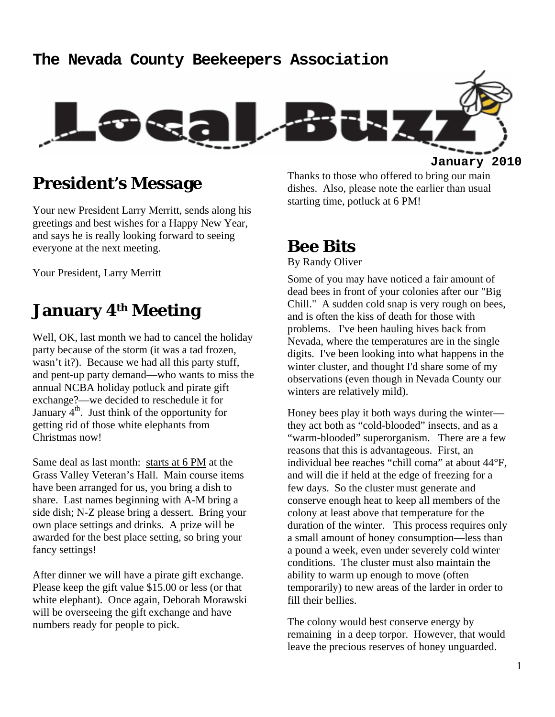### **The Nevada County Beekeepers Association**



### **President's Message**

Your new President Larry Merritt, sends along his greetings and best wishes for a Happy New Year, and says he is really looking forward to seeing everyone at the next meeting.

Your President, Larry Merritt

## **January 4th Meeting**

Well, OK, last month we had to cancel the holiday party because of the storm (it was a tad frozen, wasn't it?). Because we had all this party stuff, and pent-up party demand—who wants to miss the annual NCBA holiday potluck and pirate gift exchange?—we decided to reschedule it for January  $4^{\text{th}}$ . Just think of the opportunity for getting rid of those white elephants from Christmas now!

Same deal as last month: starts at 6 PM at the Grass Valley Veteran's Hall. Main course items have been arranged for us, you bring a dish to share. Last names beginning with A-M bring a side dish; N-Z please bring a dessert. Bring your own place settings and drinks. A prize will be awarded for the best place setting, so bring your fancy settings!

After dinner we will have a pirate gift exchange. Please keep the gift value \$15.00 or less (or that white elephant). Once again, Deborah Morawski will be overseeing the gift exchange and have numbers ready for people to pick.

Thanks to those who offered to bring our main dishes. Also, please note the earlier than usual starting time, potluck at 6 PM!

### **Bee Bits**

By Randy Oliver

Some of you may have noticed a fair amount of dead bees in front of your colonies after our "Big Chill." A sudden cold snap is very rough on bees, and is often the kiss of death for those with problems. I've been hauling hives back from Nevada, where the temperatures are in the single digits. I've been looking into what happens in the winter cluster, and thought I'd share some of my observations (even though in Nevada County our winters are relatively mild).

Honey bees play it both ways during the winter they act both as "cold-blooded" insects, and as a "warm-blooded" superorganism. There are a few reasons that this is advantageous. First, an individual bee reaches "chill coma" at about 44°F, and will die if held at the edge of freezing for a few days. So the cluster must generate and conserve enough heat to keep all members of the colony at least above that temperature for the duration of the winter. This process requires only a small amount of honey consumption—less than a pound a week, even under severely cold winter conditions. The cluster must also maintain the ability to warm up enough to move (often temporarily) to new areas of the larder in order to fill their bellies.

The colony would best conserve energy by remaining in a deep torpor. However, that would leave the precious reserves of honey unguarded.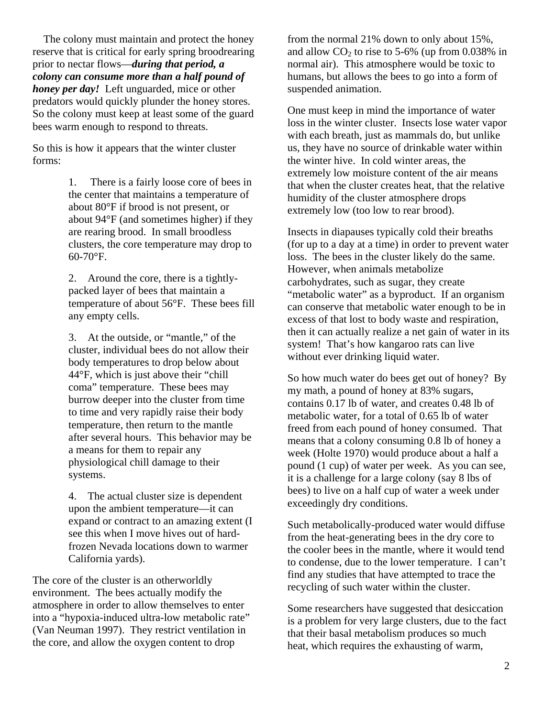The colony must maintain and protect the honey reserve that is critical for early spring broodrearing prior to nectar flows—*during that period, a colony can consume more than a half pound of honey per day!* Left unguarded, mice or other predators would quickly plunder the honey stores. So the colony must keep at least some of the guard bees warm enough to respond to threats.

So this is how it appears that the winter cluster forms:

> 1. There is a fairly loose core of bees in the center that maintains a temperature of about 80°F if brood is not present, or about 94°F (and sometimes higher) if they are rearing brood. In small broodless clusters, the core temperature may drop to 60-70°F.

> 2. Around the core, there is a tightlypacked layer of bees that maintain a temperature of about 56°F. These bees fill any empty cells.

3. At the outside, or "mantle," of the cluster, individual bees do not allow their body temperatures to drop below about 44°F, which is just above their "chill coma" temperature. These bees may burrow deeper into the cluster from time to time and very rapidly raise their body temperature, then return to the mantle after several hours. This behavior may be a means for them to repair any physiological chill damage to their systems.

4. The actual cluster size is dependent upon the ambient temperature—it can expand or contract to an amazing extent (I see this when I move hives out of hardfrozen Nevada locations down to warmer California yards).

The core of the cluster is an otherworldly environment. The bees actually modify the atmosphere in order to allow themselves to enter into a "hypoxia-induced ultra-low metabolic rate" (Van Neuman 1997). They restrict ventilation in the core, and allow the oxygen content to drop

from the normal 21% down to only about 15%, and allow  $CO<sub>2</sub>$  to rise to 5-6% (up from 0.038% in normal air). This atmosphere would be toxic to humans, but allows the bees to go into a form of suspended animation.

One must keep in mind the importance of water loss in the winter cluster. Insects lose water vapor with each breath, just as mammals do, but unlike us, they have no source of drinkable water within the winter hive. In cold winter areas, the extremely low moisture content of the air means that when the cluster creates heat, that the relative humidity of the cluster atmosphere drops extremely low (too low to rear brood).

Insects in diapauses typically cold their breaths (for up to a day at a time) in order to prevent water loss. The bees in the cluster likely do the same. However, when animals metabolize carbohydrates, such as sugar, they create "metabolic water" as a byproduct. If an organism can conserve that metabolic water enough to be in excess of that lost to body waste and respiration, then it can actually realize a net gain of water in its system! That's how kangaroo rats can live without ever drinking liquid water.

So how much water do bees get out of honey? By my math, a pound of honey at 83% sugars, contains 0.17 lb of water, and creates 0.48 lb of metabolic water, for a total of 0.65 lb of water freed from each pound of honey consumed. That means that a colony consuming 0.8 lb of honey a week (Holte 1970) would produce about a half a pound (1 cup) of water per week. As you can see, it is a challenge for a large colony (say 8 lbs of bees) to live on a half cup of water a week under exceedingly dry conditions.

Such metabolically-produced water would diffuse from the heat-generating bees in the dry core to the cooler bees in the mantle, where it would tend to condense, due to the lower temperature. I can't find any studies that have attempted to trace the recycling of such water within the cluster.

Some researchers have suggested that desiccation is a problem for very large clusters, due to the fact that their basal metabolism produces so much heat, which requires the exhausting of warm,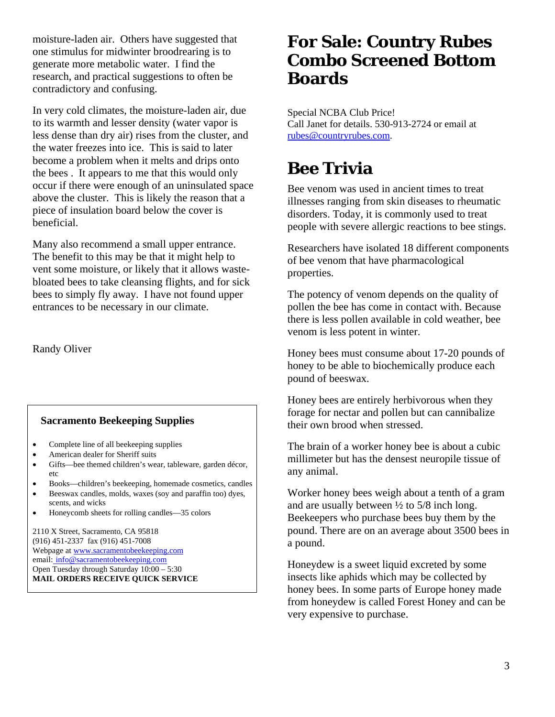moisture-laden air. Others have suggested that one stimulus for midwinter broodrearing is to generate more metabolic water. I find the research, and practical suggestions to often be contradictory and confusing.

In very cold climates, the moisture-laden air, due to its warmth and lesser density (water vapor is less dense than dry air) rises from the cluster, and the water freezes into ice. This is said to later become a problem when it melts and drips onto the bees . It appears to me that this would only occur if there were enough of an uninsulated space above the cluster. This is likely the reason that a piece of insulation board below the cover is beneficial.

Many also recommend a small upper entrance. The benefit to this may be that it might help to vent some moisture, or likely that it allows wastebloated bees to take cleansing flights, and for sick bees to simply fly away. I have not found upper entrances to be necessary in our climate.

Randy Oliver

#### **Sacramento Beekeeping Supplies**

- Complete line of all beekeeping supplies
- American dealer for Sheriff suits
- Gifts—bee themed children's wear, tableware, garden décor, etc
- Books—children's beekeeping, homemade cosmetics, candles
- Beeswax candles, molds, waxes (soy and paraffin too) dyes, scents, and wicks
- Honeycomb sheets for rolling candles—35 colors

2110 X Street, Sacramento, CA 95818 (916) 451-2337 fax (916) 451-7008 Webpage at www.sacramentobeekeeping.com email: info@sacramentobeekeeping.com Open Tuesday through Saturday 10:00 – 5:30 **MAIL ORDERS RECEIVE QUICK SERVICE** 

## **For Sale: Country Rubes Combo Screened Bottom Boards**

Special NCBA Club Price! Call Janet for details. 530-913-2724 or email at rubes@countryrubes.com.

# **Bee Trivia**

Bee venom was used in ancient times to treat illnesses ranging from skin diseases to rheumatic disorders. Today, it is commonly used to treat people with severe allergic reactions to bee stings.

Researchers have isolated 18 different components of bee venom that have pharmacological properties.

The potency of venom depends on the quality of pollen the bee has come in contact with. Because there is less pollen available in cold weather, bee venom is less potent in winter.

Honey bees must consume about 17-20 pounds of honey to be able to biochemically produce each pound of beeswax.

Honey bees are entirely herbivorous when they forage for nectar and pollen but can cannibalize their own brood when stressed.

The brain of a worker honey bee is about a cubic millimeter but has the densest neuropile tissue of any animal.

Worker honey bees weigh about a tenth of a gram and are usually between  $\frac{1}{2}$  to 5/8 inch long. Beekeepers who purchase bees buy them by the pound. There are on an average about 3500 bees in a pound.

Honeydew is a sweet liquid excreted by some insects like aphids which may be collected by honey bees. In some parts of Europe honey made from honeydew is called Forest Honey and can be very expensive to purchase.